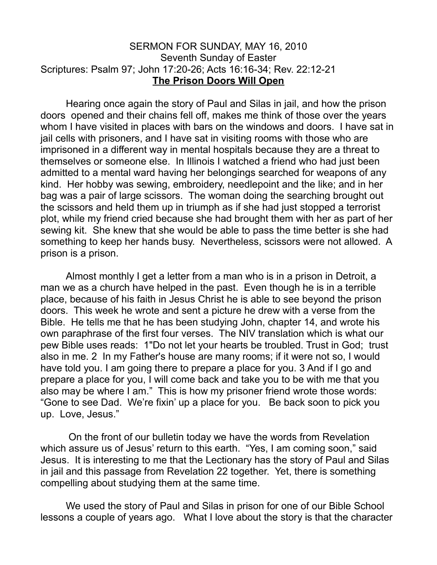## SERMON FOR SUNDAY, MAY 16, 2010 Seventh Sunday of Easter Scriptures: Psalm 97; John 17:20-26; Acts 16:16-34; Rev. 22:12-21 **The Prison Doors Will Open**

Hearing once again the story of Paul and Silas in jail, and how the prison doors opened and their chains fell off, makes me think of those over the years whom I have visited in places with bars on the windows and doors. I have sat in jail cells with prisoners, and I have sat in visiting rooms with those who are imprisoned in a different way in mental hospitals because they are a threat to themselves or someone else. In Illinois I watched a friend who had just been admitted to a mental ward having her belongings searched for weapons of any kind. Her hobby was sewing, embroidery, needlepoint and the like; and in her bag was a pair of large scissors. The woman doing the searching brought out the scissors and held them up in triumph as if she had just stopped a terrorist plot, while my friend cried because she had brought them with her as part of her sewing kit. She knew that she would be able to pass the time better is she had something to keep her hands busy. Nevertheless, scissors were not allowed. A prison is a prison.

Almost monthly I get a letter from a man who is in a prison in Detroit, a man we as a church have helped in the past. Even though he is in a terrible place, because of his faith in Jesus Christ he is able to see beyond the prison doors. This week he wrote and sent a picture he drew with a verse from the Bible. He tells me that he has been studying John, chapter 14, and wrote his own paraphrase of the first four verses. The NIV translation which is what our pew Bible uses reads: 1"Do not let your hearts be troubled. Trust in God; trust also in me. 2 In my Father's house are many rooms; if it were not so, I would have told you. I am going there to prepare a place for you. 3 And if I go and prepare a place for you, I will come back and take you to be with me that you also may be where I am." This is how my prisoner friend wrote those words: "Gone to see Dad. We're fixin' up a place for you. Be back soon to pick you up. Love, Jesus."

 On the front of our bulletin today we have the words from Revelation which assure us of Jesus' return to this earth. "Yes, I am coming soon," said Jesus. It is interesting to me that the Lectionary has the story of Paul and Silas in jail and this passage from Revelation 22 together. Yet, there is something compelling about studying them at the same time.

We used the story of Paul and Silas in prison for one of our Bible School lessons a couple of years ago. What I love about the story is that the character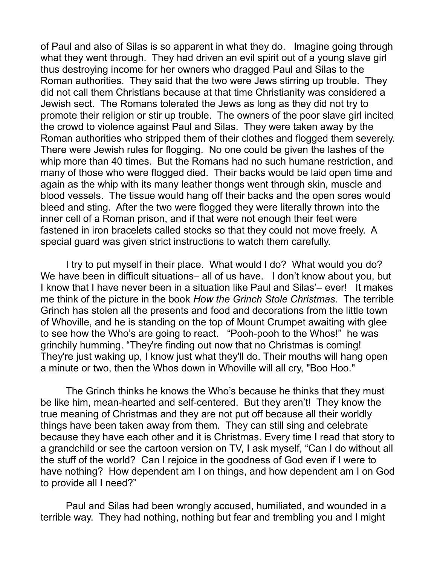of Paul and also of Silas is so apparent in what they do. Imagine going through what they went through. They had driven an evil spirit out of a young slave girl thus destroying income for her owners who dragged Paul and Silas to the Roman authorities. They said that the two were Jews stirring up trouble. They did not call them Christians because at that time Christianity was considered a Jewish sect. The Romans tolerated the Jews as long as they did not try to promote their religion or stir up trouble. The owners of the poor slave girl incited the crowd to violence against Paul and Silas. They were taken away by the Roman authorities who stripped them of their clothes and flogged them severely. There were Jewish rules for flogging. No one could be given the lashes of the whip more than 40 times. But the Romans had no such humane restriction, and many of those who were flogged died. Their backs would be laid open time and again as the whip with its many leather thongs went through skin, muscle and blood vessels. The tissue would hang off their backs and the open sores would bleed and sting. After the two were flogged they were literally thrown into the inner cell of a Roman prison, and if that were not enough their feet were fastened in iron bracelets called stocks so that they could not move freely. A special guard was given strict instructions to watch them carefully.

I try to put myself in their place. What would I do? What would you do? We have been in difficult situations– all of us have. I don't know about you, but I know that I have never been in a situation like Paul and Silas'– ever! It makes me think of the picture in the book *How the Grinch Stole Christmas*. The terrible Grinch has stolen all the presents and food and decorations from the little town of Whoville, and he is standing on the top of Mount Crumpet awaiting with glee to see how the Who's are going to react. "Pooh-pooh to the Whos!" he was grinchily humming. "They're finding out now that no Christmas is coming! They're just waking up, I know just what they'll do. Their mouths will hang open a minute or two, then the Whos down in Whoville will all cry, "Boo Hoo."

The Grinch thinks he knows the Who's because he thinks that they must be like him, mean-hearted and self-centered. But they aren't! They know the true meaning of Christmas and they are not put off because all their worldly things have been taken away from them. They can still sing and celebrate because they have each other and it is Christmas. Every time I read that story to a grandchild or see the cartoon version on TV, I ask myself, "Can I do without all the stuff of the world? Can I rejoice in the goodness of God even if I were to have nothing? How dependent am I on things, and how dependent am I on God to provide all I need?"

Paul and Silas had been wrongly accused, humiliated, and wounded in a terrible way. They had nothing, nothing but fear and trembling you and I might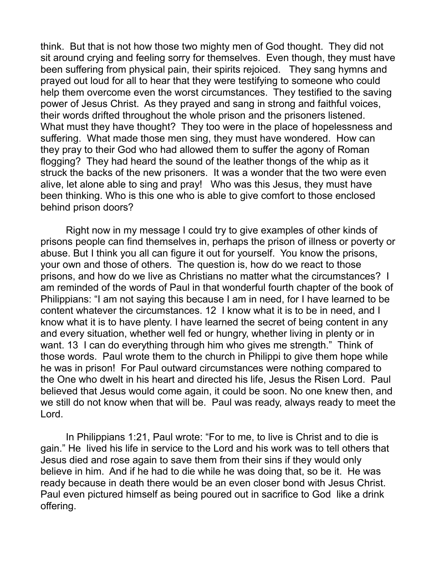think. But that is not how those two mighty men of God thought. They did not sit around crying and feeling sorry for themselves. Even though, they must have been suffering from physical pain, their spirits rejoiced. They sang hymns and prayed out loud for all to hear that they were testifying to someone who could help them overcome even the worst circumstances. They testified to the saving power of Jesus Christ. As they prayed and sang in strong and faithful voices, their words drifted throughout the whole prison and the prisoners listened. What must they have thought? They too were in the place of hopelessness and suffering. What made those men sing, they must have wondered. How can they pray to their God who had allowed them to suffer the agony of Roman flogging? They had heard the sound of the leather thongs of the whip as it struck the backs of the new prisoners. It was a wonder that the two were even alive, let alone able to sing and pray! Who was this Jesus, they must have been thinking. Who is this one who is able to give comfort to those enclosed behind prison doors?

Right now in my message I could try to give examples of other kinds of prisons people can find themselves in, perhaps the prison of illness or poverty or abuse. But I think you all can figure it out for yourself. You know the prisons, your own and those of others. The question is, how do we react to those prisons, and how do we live as Christians no matter what the circumstances? I am reminded of the words of Paul in that wonderful fourth chapter of the book of Philippians: "I am not saying this because I am in need, for I have learned to be content whatever the circumstances. 12 I know what it is to be in need, and I know what it is to have plenty. I have learned the secret of being content in any and every situation, whether well fed or hungry, whether living in plenty or in want. 13 I can do everything through him who gives me strength." Think of those words. Paul wrote them to the church in Philippi to give them hope while he was in prison! For Paul outward circumstances were nothing compared to the One who dwelt in his heart and directed his life, Jesus the Risen Lord. Paul believed that Jesus would come again, it could be soon. No one knew then, and we still do not know when that will be. Paul was ready, always ready to meet the Lord.

In Philippians 1:21, Paul wrote: "For to me, to live is Christ and to die is gain." He lived his life in service to the Lord and his work was to tell others that Jesus died and rose again to save them from their sins if they would only believe in him. And if he had to die while he was doing that, so be it. He was ready because in death there would be an even closer bond with Jesus Christ. Paul even pictured himself as being poured out in sacrifice to God like a drink offering.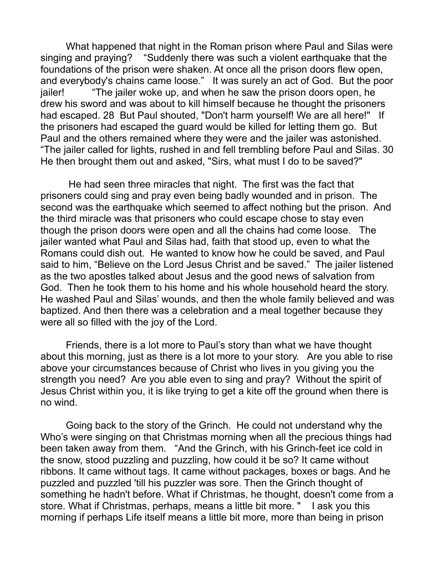What happened that night in the Roman prison where Paul and Silas were singing and praying? "Suddenly there was such a violent earthquake that the foundations of the prison were shaken. At once all the prison doors flew open, and everybody's chains came loose." It was surely an act of God. But the poor jailer! "The jailer woke up, and when he saw the prison doors open, he drew his sword and was about to kill himself because he thought the prisoners had escaped. 28 But Paul shouted, "Don't harm yourself! We are all here!" If the prisoners had escaped the guard would be killed for letting them go. But Paul and the others remained where they were and the jailer was astonished. "The jailer called for lights, rushed in and fell trembling before Paul and Silas. 30 He then brought them out and asked, "Sirs, what must I do to be saved?"

 He had seen three miracles that night. The first was the fact that prisoners could sing and pray even being badly wounded and in prison. The second was the earthquake which seemed to affect nothing but the prison. And the third miracle was that prisoners who could escape chose to stay even though the prison doors were open and all the chains had come loose. The jailer wanted what Paul and Silas had, faith that stood up, even to what the Romans could dish out. He wanted to know how he could be saved, and Paul said to him, "Believe on the Lord Jesus Christ and be saved." The jailer listened as the two apostles talked about Jesus and the good news of salvation from God. Then he took them to his home and his whole household heard the story. He washed Paul and Silas' wounds, and then the whole family believed and was baptized. And then there was a celebration and a meal together because they were all so filled with the joy of the Lord.

Friends, there is a lot more to Paul's story than what we have thought about this morning, just as there is a lot more to your story. Are you able to rise above your circumstances because of Christ who lives in you giving you the strength you need? Are you able even to sing and pray? Without the spirit of Jesus Christ within you, it is like trying to get a kite off the ground when there is no wind.

Going back to the story of the Grinch. He could not understand why the Who's were singing on that Christmas morning when all the precious things had been taken away from them. "And the Grinch, with his Grinch-feet ice cold in the snow, stood puzzling and puzzling, how could it be so? It came without ribbons. It came without tags. It came without packages, boxes or bags. And he puzzled and puzzled 'till his puzzler was sore. Then the Grinch thought of something he hadn't before. What if Christmas, he thought, doesn't come from a store. What if Christmas, perhaps, means a little bit more. " I ask you this morning if perhaps Life itself means a little bit more, more than being in prison